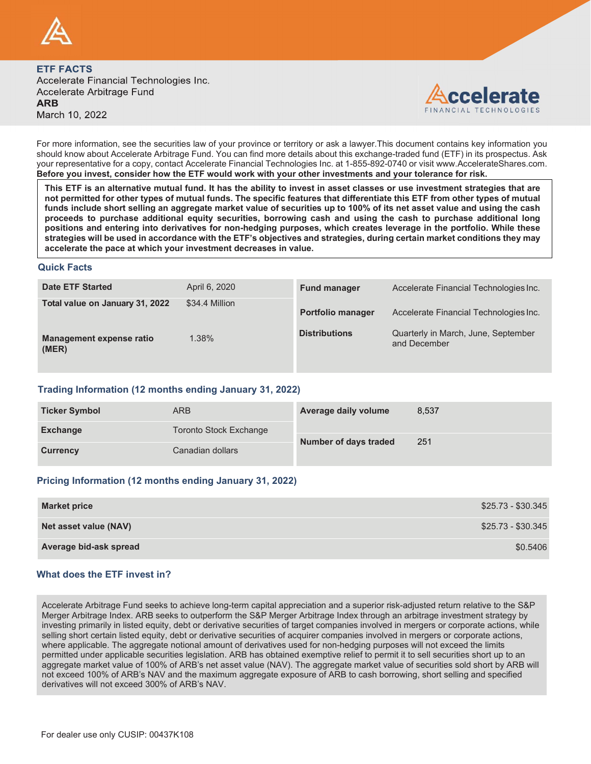



THE FACTS<br>coelerate Financial Technologies Inc.<br>coelerate Arbitrage Fund<br>RB<br>RB<br>oudd know about Axcelerate Arbitrage Fund. You can find more details shoot this exist in a coelerate of the ability<br>out of the ability to inves not permitted for other types of mutual funds. The specific features that differentiate this ETF from other types of mutual FIF FACTS<br>coelerate Financial Technologies Inc.<br>coelerate Financial Technologies Inc.<br>more information, see the securities law of your province or territory or ask a lawyer. This document contains key information you<br>archi **EXECTS**<br>
Scelerate Financial Technologies Inc.<br>
Receivate Financial Technologies Inc.<br>
Receivate Arbitrage Fund<br>
Receivate Arbitrage Fund<br>
Parameter and the securities law of your province or territory or ask a lawyer. Th **POSITIVE CONTROVER AND ENTERT FACTS**<br> **POSITIVES**<br> **POSITIVES** CONTROVER AND THE CONTROVER AND THE CONTROVER AND THE CONTROVER AND THE CONTROVERS AND THE CONTROVERS (THE CONTROVERS) THE CONTROVERS (THE CONTROVERS) WHICH I strategies will be used in accordance with the ETF's objectives and strategies, during certain market conditions they may accelerate the pace at which your investment decreases in value.

## Quick Facts

| $\sqrt{2}$                                                                                                       |                                                                  |                          |                                                                                                                                                                                                                                                                                                                                                                                                                                                                                                                                                                                                                                                                                                                                                                   |
|------------------------------------------------------------------------------------------------------------------|------------------------------------------------------------------|--------------------------|-------------------------------------------------------------------------------------------------------------------------------------------------------------------------------------------------------------------------------------------------------------------------------------------------------------------------------------------------------------------------------------------------------------------------------------------------------------------------------------------------------------------------------------------------------------------------------------------------------------------------------------------------------------------------------------------------------------------------------------------------------------------|
| <b>ETF FACTS</b><br>Accelerate Financial Technologies Inc.<br>Accelerate Arbitrage Fund<br>ARB<br>March 10, 2022 |                                                                  |                          | ccelerate<br>FINANCIAL TECHNOLOGIES                                                                                                                                                                                                                                                                                                                                                                                                                                                                                                                                                                                                                                                                                                                               |
| Before you invest, consider how the ETF would work with your other investments and your tolerance for risk.      |                                                                  |                          | For more information, see the securities law of your province or territory or ask a lawyer. This document contains key information you<br>should know about Accelerate Arbitrage Fund. You can find more details about this exchange-traded fund (ETF) in its prospectus. Ask<br>your representative for a copy, contact Accelerate Financial Technologies Inc. at 1-855-892-0740 or visit www.AccelerateShares.com.                                                                                                                                                                                                                                                                                                                                              |
|                                                                                                                  | accelerate the pace at which your investment decreases in value. |                          | This ETF is an alternative mutual fund. It has the ability to invest in asset classes or use investment strategies that are<br>not permitted for other types of mutual funds. The specific features that differentiate this ETF from other types of mutual<br>funds include short selling an aggregate market value of securities up to 100% of its net asset value and using the cash<br>proceeds to purchase additional equity securities, borrowing cash and using the cash to purchase additional long<br>positions and entering into derivatives for non-hedging purposes, which creates leverage in the portfolio. While these<br>strategies will be used in accordance with the ETF's objectives and strategies, during certain market conditions they may |
| <b>Quick Facts</b>                                                                                               |                                                                  |                          |                                                                                                                                                                                                                                                                                                                                                                                                                                                                                                                                                                                                                                                                                                                                                                   |
| <b>Date ETF Started</b>                                                                                          | April 6, 2020                                                    | <b>Fund manager</b>      | Accelerate Financial Technologies Inc.                                                                                                                                                                                                                                                                                                                                                                                                                                                                                                                                                                                                                                                                                                                            |
| Total value on January 31, 2022                                                                                  | \$34.4 Million                                                   | <b>Portfolio manager</b> | Accelerate Financial Technologies Inc.                                                                                                                                                                                                                                                                                                                                                                                                                                                                                                                                                                                                                                                                                                                            |
| <b>Management expense ratio</b><br>(MER)                                                                         | 1.38%                                                            | <b>Distributions</b>     | Quarterly in March, June, September<br>and December                                                                                                                                                                                                                                                                                                                                                                                                                                                                                                                                                                                                                                                                                                               |
| Trading Information (12 months ending January 31, 2022)                                                          |                                                                  |                          |                                                                                                                                                                                                                                                                                                                                                                                                                                                                                                                                                                                                                                                                                                                                                                   |
| <b>Ticker Symbol</b>                                                                                             | <b>ARB</b>                                                       | Average daily volume     | 8,537                                                                                                                                                                                                                                                                                                                                                                                                                                                                                                                                                                                                                                                                                                                                                             |
| <b>Exchange</b>                                                                                                  | <b>Toronto Stock Exchange</b>                                    |                          |                                                                                                                                                                                                                                                                                                                                                                                                                                                                                                                                                                                                                                                                                                                                                                   |
| <b>Currency</b>                                                                                                  | Canadian dollars                                                 | Number of days traded    | 251                                                                                                                                                                                                                                                                                                                                                                                                                                                                                                                                                                                                                                                                                                                                                               |
| Pricing Information (12 months ending January 31, 2022)                                                          |                                                                  |                          |                                                                                                                                                                                                                                                                                                                                                                                                                                                                                                                                                                                                                                                                                                                                                                   |
| <b>Market price</b>                                                                                              |                                                                  |                          | \$25.73 - \$30.345                                                                                                                                                                                                                                                                                                                                                                                                                                                                                                                                                                                                                                                                                                                                                |
| Net asset value (NAV)                                                                                            |                                                                  |                          | \$25.73 - \$30.345                                                                                                                                                                                                                                                                                                                                                                                                                                                                                                                                                                                                                                                                                                                                                |
| Average bid-ask spread                                                                                           |                                                                  |                          | \$0.5406                                                                                                                                                                                                                                                                                                                                                                                                                                                                                                                                                                                                                                                                                                                                                          |
| What does the ETF invest in?                                                                                     |                                                                  |                          |                                                                                                                                                                                                                                                                                                                                                                                                                                                                                                                                                                                                                                                                                                                                                                   |
|                                                                                                                  |                                                                  |                          |                                                                                                                                                                                                                                                                                                                                                                                                                                                                                                                                                                                                                                                                                                                                                                   |

# Trading Information (12 months ending January 31, 2022)

| <b>Ticker Symbol</b> | ARB                    | Average daily volume  | 8,537 |
|----------------------|------------------------|-----------------------|-------|
| <b>Exchange</b>      | Toronto Stock Exchange |                       | 251   |
| <b>Currency</b>      | Canadian dollars       | Number of days traded |       |

# Pricing Information (12 months ending January 31, 2022)

| <b>Market price</b>    | \$25.73 - \$30.345 |
|------------------------|--------------------|
| Net asset value (NAV)  | \$25.73 - \$30.345 |
| Average bid-ask spread | \$0.5406           |

## What does the ETF invest in?

Accelerate Arbitrage Fund seeks to achieve long-term capital appreciation and a superior risk-adjusted return relative to the S&P Merger Arbitrage Index. ARB seeks to outperform the S&P Merger Arbitrage Index through an arbitrage investment strategy by investing primarily in listed equity, debt or derivative securities of target companies involved in mergers or corporate actions, while selling short certain listed equity, debt or derivative securities of acquirer companies involved in mergers or corporate actions, where applicable. The aggregate notional amount of derivatives used for non-hedging purposes will not exceed the limits<br>permitted under applicable securities legislation. ARB has obtained exemptive relief to permit it to s **Exchange Control Control Control Control Control Control Control Control Control Control Control Control Control Control Control Control Control Control Control Control Control Control Control Control Control Control Cont** Exchange<br>
Exchange<br>
Exchange<br>
Exchange<br>
Currency<br>
Canadian dollars<br>
Net asset value (NAV)<br>
S25.73 - \$30.345<br>
Net asset value (NAV)<br>
S25.73 - \$30.345<br>
Average bid-ask spread<br>
S0.5400<br>
Average bid-ask spread<br>
S0.5400<br>
Averag Exchange<br>
17 Toronto Slock Exchange<br>
18 Concerning Universed Concerning January 31, 2022)<br>
19 Market price<br>
19 Market price<br>
19 Market price<br>
19 Market price<br>
19 Market price<br>
19 Market price<br>
19 Market price<br>
19 Market pr Currency<br>
Carrency<br>
Carrency<br>
Tricing Information (12 months ending January 31, 2022)<br>
Market price<br>
Not asset value (NAV)<br>
Average bid-ask spread<br>
Nhat does the ETF invest in?<br>
Accelerate Arbitrage Fund seeks to achieve l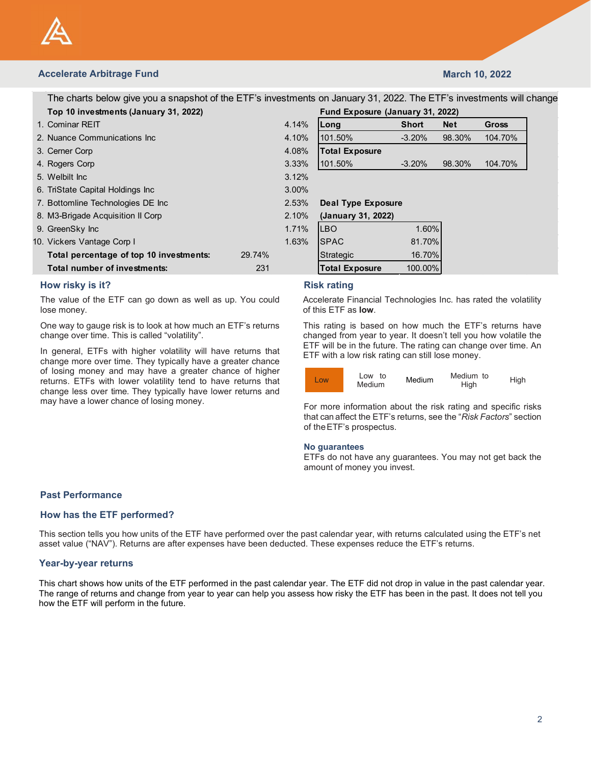

# Accelerate Arbitrage Fund March 10, 2022

| <b>Accelerate Arbitrage Fund</b>                                                                                                                                                         |        |       |                                                                                                                                                                |              | <b>March 10, 2022</b> |         |
|------------------------------------------------------------------------------------------------------------------------------------------------------------------------------------------|--------|-------|----------------------------------------------------------------------------------------------------------------------------------------------------------------|--------------|-----------------------|---------|
|                                                                                                                                                                                          |        |       |                                                                                                                                                                |              |                       |         |
| The charts below give you a snapshot of the ETF's investments on January 31, 2022. The ETF's investments will change                                                                     |        |       |                                                                                                                                                                |              |                       |         |
| Top 10 investments (January 31, 2022)<br>1. Cominar REIT                                                                                                                                 |        | 4.14% | Fund Exposure (January 31, 2022)                                                                                                                               | <b>Short</b> | <b>Net</b>            | Gross   |
| 2. Nuance Communications Inc.                                                                                                                                                            |        | 4.10% | Long<br>101.50%                                                                                                                                                | $-3.20%$     | 98.30%                | 104.70% |
| 3. Cerner Corp                                                                                                                                                                           |        | 4.08% | <b>Total Exposure</b>                                                                                                                                          |              |                       |         |
| 4. Rogers Corp                                                                                                                                                                           |        | 3.33% | 101.50%                                                                                                                                                        | $-3.20%$     | 98.30%                | 104.70% |
| 5. Welbilt Inc                                                                                                                                                                           |        | 3.12% |                                                                                                                                                                |              |                       |         |
| 6. TriState Capital Holdings Inc                                                                                                                                                         |        | 3.00% |                                                                                                                                                                |              |                       |         |
| 7. Bottomline Technologies DE Inc                                                                                                                                                        |        | 2.53% | <b>Deal Type Exposure</b>                                                                                                                                      |              |                       |         |
| 8. M3-Brigade Acquisition II Corp                                                                                                                                                        |        | 2.10% | (January 31, 2022)                                                                                                                                             |              |                       |         |
| 9. GreenSky Inc                                                                                                                                                                          |        | 1.71% | LBO                                                                                                                                                            | 1.60%        |                       |         |
| 10. Vickers Vantage Corp I                                                                                                                                                               |        | 1.63% | <b>SPAC</b>                                                                                                                                                    | 81.70%       |                       |         |
| Total percentage of top 10 investments:                                                                                                                                                  | 29.74% |       | Strategic                                                                                                                                                      | 16.70%       |                       |         |
| Total number of investments:                                                                                                                                                             | 231    |       | <b>Total Exposure</b>                                                                                                                                          | 100.00%      |                       |         |
| How risky is it?                                                                                                                                                                         |        |       | <b>Risk rating</b>                                                                                                                                             |              |                       |         |
| The value of the ETF can go down as well as up. You could<br>lose money.                                                                                                                 |        |       | Accelerate Financial Technologies Inc. has rated the volatility<br>of this ETF as low.                                                                         |              |                       |         |
| One way to gauge risk is to look at how much an ETF's returns<br>change over time. This is called "volatility".                                                                          |        |       | This rating is based on how much the ETF's returns have<br>changed from year to year. It doesn't tell you how volatile the                                     |              |                       |         |
| In general, ETFs with higher volatility will have returns that<br>change more over time. They typically have a greater chance                                                            |        |       | ETF will be in the future. The rating can change over time. An<br>ETF with a low risk rating can still lose money.                                             |              |                       |         |
| of losing money and may have a greater chance of higher<br>returns. ETFs with lower volatility tend to have returns that<br>change less over time. They typically have lower returns and |        |       | Low to<br>Low<br>Medium                                                                                                                                        | Medium       | Medium to<br>High     | High    |
| may have a lower chance of losing money.                                                                                                                                                 |        |       | For more information about the risk rating and specific risks<br>that can affect the ETF's returns, see the "Risk Factors" section<br>of the ETF's prospectus. |              |                       |         |
|                                                                                                                                                                                          |        |       | No guarantees<br>ETFs do not have any guarantees. You may not get back the                                                                                     |              |                       |         |

In general, ETFs with higher volatility will have returns that change more over time. They typically have a greater chance of losing money and may have a greater chance of higher<br>
returns ETFs with lower volatility tend to have returns that **Low** returns. ETFs with lower volatility tend to have returns that **Low** Low Medium change less over time. They typically have lower returns and In general, Life with nigher volatility will have returns that<br>
of chosing more over time. They typically have a greater chance<br>
of losing money and may have a greater chance of higher<br>
or time. ETFs with lower rolating th

|               |                                                                                                                                                                                                                                                  |              | <b>March 10, 2022</b> |         |      |
|---------------|--------------------------------------------------------------------------------------------------------------------------------------------------------------------------------------------------------------------------------------------------|--------------|-----------------------|---------|------|
|               | ents on January 31, 2022. The ETF's investments will change                                                                                                                                                                                      |              |                       |         |      |
|               | Fund Exposure (January 31, 2022)                                                                                                                                                                                                                 |              |                       |         |      |
| l%            | Long                                                                                                                                                                                                                                             | <b>Short</b> | <b>Net</b>            | Gross   |      |
| $\frac{9}{6}$ | 101.50%                                                                                                                                                                                                                                          | $-3.20%$     | 98.30%                | 104.70% |      |
| 3%            | <b>Total Exposure</b>                                                                                                                                                                                                                            |              |                       |         |      |
| 3%            | 101.50%                                                                                                                                                                                                                                          | $-3.20%$     | 98.30%                | 104.70% |      |
| $2\%$         |                                                                                                                                                                                                                                                  |              |                       |         |      |
| $\frac{9}{6}$ |                                                                                                                                                                                                                                                  |              |                       |         |      |
| 3%            | <b>Deal Type Exposure</b>                                                                                                                                                                                                                        |              |                       |         |      |
| $\frac{9}{6}$ | (January 31, 2022)                                                                                                                                                                                                                               |              |                       |         |      |
| $\frac{9}{6}$ | LBO                                                                                                                                                                                                                                              | 1.60%        |                       |         |      |
| 3%            | <b>SPAC</b>                                                                                                                                                                                                                                      | 81.70%       |                       |         |      |
|               | Strategic                                                                                                                                                                                                                                        | 16.70%       |                       |         |      |
|               | <b>Total Exposure</b>                                                                                                                                                                                                                            | 100.00%      |                       |         |      |
|               | <b>Risk rating</b>                                                                                                                                                                                                                               |              |                       |         |      |
|               | Accelerate Financial Technologies Inc. has rated the volatility<br>of this ETF as <b>low</b> .                                                                                                                                                   |              |                       |         |      |
|               | This rating is based on how much the ETF's returns have<br>changed from year to year. It doesn't tell you how volatile the<br>ETF will be in the future. The rating can change over time. An<br>ETF with a low risk rating can still lose money. |              |                       |         |      |
|               | Low to<br>Low<br>Medium                                                                                                                                                                                                                          | Medium       | Medium to<br>High     |         | High |



### No guarantees

ETFs do not have any guarantees. You may not get back the amount of money you invest.

# Past Performance

## How has the ETF performed?

This section tells you how units of the ETF have performed over the past calendar year, with returns calculated using the ETF's net asset value ("NAV"). Returns are after expenses have been deducted. These expenses reduce the ETF's returns.

### Year-by-year returns

The many distribution of the expense of the experimental to the past calendar year. The chart show vokalis the experiment of this characteristic and the experiment of the experiment of the experiment of the past calendar o In ceneral, ETFs with higher velatility will have returns that  $\frac{ETF}{T}$  will be in the future. The ratio and change over time. An change over time. They the past change over time futures and change over and change over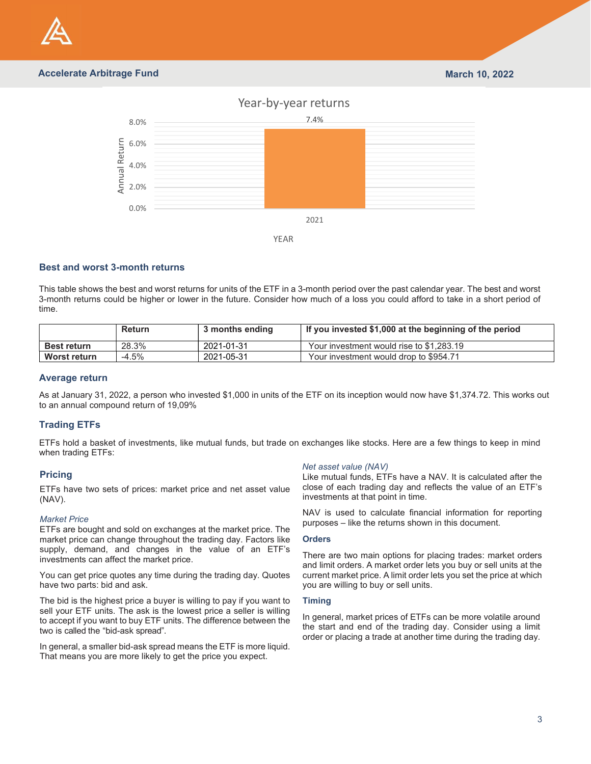

# Accelerate Arbitrage Fund March 10, 2022



## Best and worst 3-month returns

| time.                                                                                  |               |                                                                  | This table shows the best and worst returns for units of the ETF in a 3-month period over the past calendar year. The best and worst<br>3-month returns could be higher or lower in the future. Consider how much of a loss you could afford to take in a short period of |
|----------------------------------------------------------------------------------------|---------------|------------------------------------------------------------------|---------------------------------------------------------------------------------------------------------------------------------------------------------------------------------------------------------------------------------------------------------------------------|
|                                                                                        | <b>Return</b> | 3 months ending                                                  | If you invested \$1,000 at the beginning of the period                                                                                                                                                                                                                    |
| <b>Best return</b>                                                                     | 28.3%         | 2021-01-31                                                       | Your investment would rise to \$1,283.19                                                                                                                                                                                                                                  |
| <b>Worst return</b>                                                                    | $-4.5%$       | 2021-05-31                                                       | Your investment would drop to \$954.71                                                                                                                                                                                                                                    |
| <b>Average return</b><br>to an annual compound return of 19,09%<br><b>Trading ETFs</b> |               |                                                                  | As at January 31, 2022, a person who invested \$1,000 in units of the ETF on its inception would now have \$1,374.72. This works out                                                                                                                                      |
|                                                                                        |               |                                                                  |                                                                                                                                                                                                                                                                           |
| when trading ETFs:                                                                     |               |                                                                  | ETFs hold a basket of investments, like mutual funds, but trade on exchanges like stocks. Here are a few things to keep in mind                                                                                                                                           |
| <b>Pricing</b>                                                                         |               |                                                                  | Net asset value (NAV)<br>Like mutual funds, ETFs have a NAV. It is calculated after the                                                                                                                                                                                   |
| $(NAV)$ .                                                                              |               | ETFs have two sets of prices: market price and net asset value   | close of each trading day and reflects the value of an ETF's<br>investments at that point in time.                                                                                                                                                                        |
| <b>Market Price</b>                                                                    |               | ETFs are bought and sold on exchanges at the market price. The   | NAV is used to calculate financial information for reporting<br>purposes – like the returns shown in this document.                                                                                                                                                       |
|                                                                                        |               | market price can change throughout the trading day. Factors like | <b>Orders</b>                                                                                                                                                                                                                                                             |
| investments can affect the market price.                                               |               | supply, demand, and changes in the value of an ETF's             | There are two main options for placing trades: market orders<br>and limit orders. A market order lets you buy or sell units at the                                                                                                                                        |
| have two parte: hid and ack                                                            |               | You can get price quotes any time during the trading day. Quotes | current market price. A limit order lets you set the price at which<br>vou are willing to huy or cell unite                                                                                                                                                               |

## Average return

# Trading ETFs

## Pricing

### Market Price

You can get price quotes any time during the trading day. Quotes have two parts: bid and ask.

The bid is the highest price a buyer is willing to pay if you want to sell your ETF units. The ask is the lowest price a seller is willing to accept if you want to buy ETF units. The difference between the two is called the "bid-ask spread".

In general, a smaller bid-ask spread means the ETF is more liquid. That means you are more likely to get the price you expect.

### Net asset value (NAV)

### **Orders**

There are two main options for placing trades: market orders and limit orders. A market order lets you buy or sell units at the current market price. A limit order lets you set the price at which you are willing to buy or sell units.

### Timing

In general, market prices of ETFs can be more volatile around the start and end of the trading day. Consider using a limit order or placing a trade at another time during the trading day.